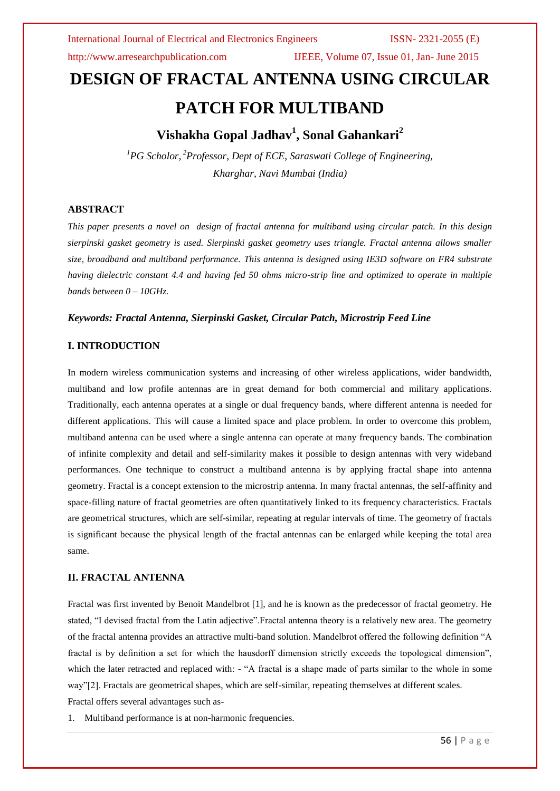http://www.arresearchpublication.com IJEEE, Volume 07, Issue 01, Jan- June 2015

# **DESIGN OF FRACTAL ANTENNA USING CIRCULAR PATCH FOR MULTIBAND**

## **Vishakha Gopal Jadhav<sup>1</sup> , Sonal Gahankari<sup>2</sup>**

*<sup>1</sup>PG Scholor, <sup>2</sup>Professor, Dept of ECE, Saraswati College of Engineering, Kharghar, Navi Mumbai (India)*

### **ABSTRACT**

*This paper presents a novel on design of fractal antenna for multiband using circular patch. In this design sierpinski gasket geometry is used. Sierpinski gasket geometry uses triangle. Fractal antenna allows smaller size, broadband and multiband performance. This antenna is designed using IE3D software on FR4 substrate having dielectric constant 4.4 and having fed 50 ohms micro-strip line and optimized to operate in multiple bands between 0 – 10GHz.*

#### *Keywords: Fractal Antenna, Sierpinski Gasket, Circular Patch, Microstrip Feed Line*

#### **I. INTRODUCTION**

In modern wireless communication systems and increasing of other wireless applications, wider bandwidth, multiband and low profile antennas are in great demand for both commercial and military applications. Traditionally, each antenna operates at a single or dual frequency bands, where different antenna is needed for different applications. This will cause a limited space and place problem. In order to overcome this problem, multiband antenna can be used where a single antenna can operate at many frequency bands. The combination of infinite complexity and detail and self-similarity makes it possible to design antennas with very wideband performances. One technique to construct a multiband antenna is by applying fractal shape into antenna geometry. Fractal is a concept extension to the microstrip antenna. In many fractal antennas, the self-affinity and space-filling nature of fractal geometries are often quantitatively linked to its frequency characteristics. Fractals are geometrical structures, which are self-similar, repeating at regular intervals of time. The geometry of fractals is significant because the physical length of the fractal antennas can be enlarged while keeping the total area same.

#### **II. FRACTAL ANTENNA**

Fractal was first invented by Benoit Mandelbrot [1], and he is known as the predecessor of fractal geometry. He stated, "I devised fractal from the Latin adjective".Fractal antenna theory is a relatively new area. The geometry of the fractal antenna provides an attractive multi-band solution. Mandelbrot offered the following definition "A fractal is by definition a set for which the hausdorff dimension strictly exceeds the topological dimension", which the later retracted and replaced with:  $-$  "A fractal is a shape made of parts similar to the whole in some way"[2]. Fractals are geometrical shapes, which are self-similar, repeating themselves at different scales. Fractal offers several advantages such as-

1. Multiband performance is at non-harmonic frequencies.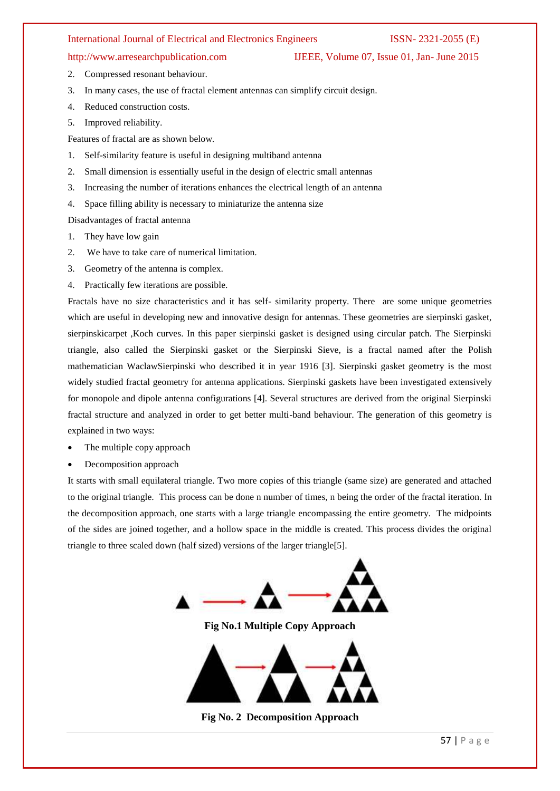- http://www.arresearchpublication.com IJEEE, Volume 07, Issue 01, Jan- June 2015
- 2. Compressed resonant behaviour.
- 3. In many cases, the use of fractal element antennas can simplify circuit design.
- 4. Reduced construction costs.
- 5. Improved reliability.

Features of fractal are as shown below.

- 1. Self-similarity feature is useful in designing multiband antenna
- 2. Small dimension is essentially useful in the design of electric small antennas
- 3. Increasing the number of iterations enhances the electrical length of an antenna
- 4. Space filling ability is necessary to miniaturize the antenna size

Disadvantages of fractal antenna

- 1. They have low gain
- 2. We have to take care of numerical limitation.
- 3. Geometry of the antenna is complex.
- 4. Practically few iterations are possible.

Fractals have no size characteristics and it has self- similarity property. There are some unique geometries which are useful in developing new and innovative design for antennas. These geometries are sierpinski gasket, sierpinskicarpet ,Koch curves. In this paper sierpinski gasket is designed using circular patch. The Sierpinski triangle, also called the Sierpinski gasket or the Sierpinski Sieve, is a fractal named after the Polish mathematician WaclawSierpinski who described it in year 1916 [3]. Sierpinski gasket geometry is the most widely studied fractal geometry for antenna applications. Sierpinski gaskets have been investigated extensively for monopole and dipole antenna configurations [4]. Several structures are derived from the original Sierpinski fractal structure and analyzed in order to get better multi-band behaviour. The generation of this geometry is explained in two ways:

- The multiple copy approach
- Decomposition approach

It starts with small equilateral triangle. Two more copies of this triangle (same size) are generated and attached to the original triangle. This process can be done n number of times, n being the order of the fractal iteration. In the decomposition approach, one starts with a large triangle encompassing the entire geometry. The midpoints of the sides are joined together, and a hollow space in the middle is created. This process divides the original triangle to three scaled down (half sized) versions of the larger triangle[5].

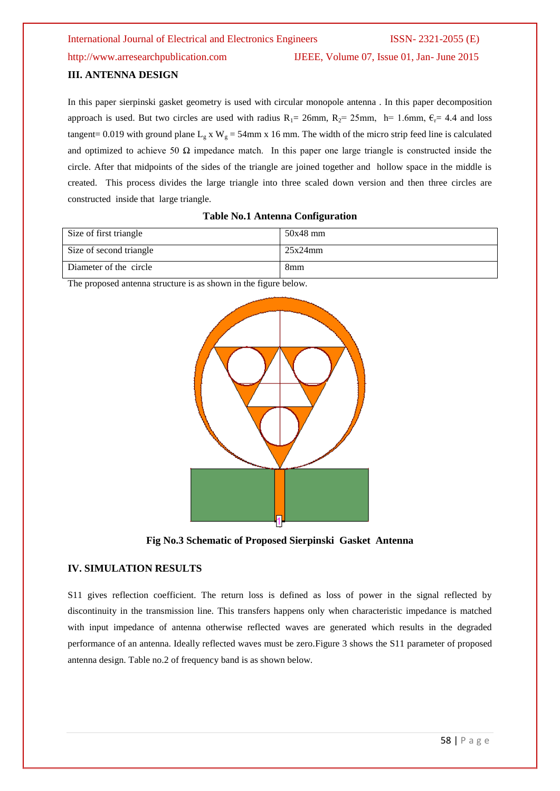#### http://www.arresearchpublication.com IJEEE, Volume 07, Issue 01, Jan- June 2015

#### **III. ANTENNA DESIGN**

In this paper sierpinski gasket geometry is used with circular monopole antenna . In this paper decomposition approach is used. But two circles are used with radius  $R_1 = 26$ mm,  $R_2 = 25$ mm, h= 1.6mm,  $\epsilon_r = 4.4$  and loss tangent= 0.019 with ground plane L<sub>g</sub> x W<sub>g</sub> = 54mm x 16 mm. The width of the micro strip feed line is calculated and optimized to achieve 50  $\Omega$  impedance match. In this paper one large triangle is constructed inside the circle. After that midpoints of the sides of the triangle are joined together and hollow space in the middle is created. This process divides the large triangle into three scaled down version and then three circles are constructed inside that large triangle.

| Size of first triangle  | 50x48 mm        |
|-------------------------|-----------------|
| Size of second triangle | 25x24mm         |
| Diameter of the circle  | 8 <sub>mm</sub> |

#### **Table No.1 Antenna Configuration**

The proposed antenna structure is as shown in the figure below.



**Fig No.3 Schematic of Proposed Sierpinski Gasket Antenna**

#### **IV. SIMULATION RESULTS**

S11 gives reflection coefficient. The return loss is defined as loss of power in the signal reflected by discontinuity in the transmission line. This transfers happens only when characteristic impedance is matched with input impedance of antenna otherwise reflected waves are generated which results in the degraded performance of an antenna. Ideally reflected waves must be zero.Figure 3 shows the S11 parameter of proposed antenna design. Table no.2 of frequency band is as shown below.